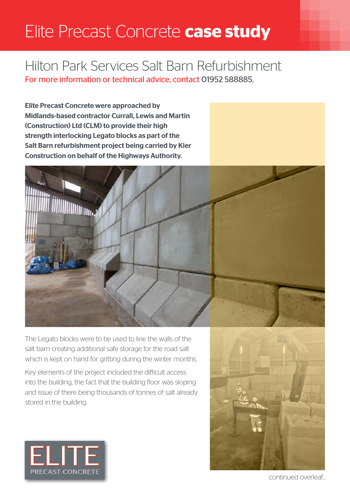## Elite Precast Concrete **case study**

## Hilton Park Services Salt Barn Refurbishment

For more information or technical advice, contact 01952 588885.

Elite Precast Concrete were approached by Midlands-based contractor Currall, Lewis and Martin (Construction) Ltd (CLM) to provide their high strength interlocking Legato blocks as part of the Salt Barn refurbishment project being carried by Kier Construction on behalf of the Highways Authority.



The Legato blocks were to be used to line the walls of the salt barn creating additional safe storage for the road salt which is kept on hand for gritting during the winter months.

Key elements of the project included the difficult access into the building, the fact that the building floor was sloping and issue of there being thousands of tonnes of salt already stored in the building.





continued overleaf...